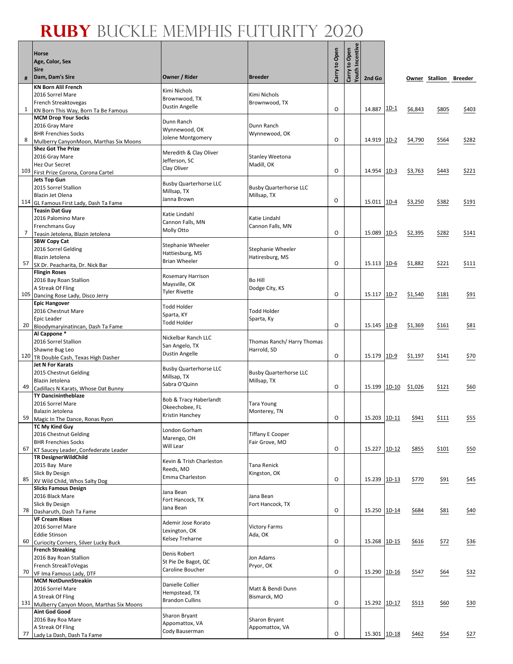Г  $\overline{\phantom{a}}$ 

|     | Horse                                                               |                                    |                               |               | Carry to Open<br>Youth Incentive |              |         |         |                |                 |
|-----|---------------------------------------------------------------------|------------------------------------|-------------------------------|---------------|----------------------------------|--------------|---------|---------|----------------|-----------------|
|     | Age, Color, Sex                                                     |                                    |                               |               |                                  |              |         |         |                |                 |
|     | Sire                                                                |                                    |                               | Carry to Open |                                  |              |         |         |                |                 |
| #   | Dam, Dam's Sire                                                     | Owner / Rider                      | <b>Breeder</b>                |               |                                  | 2nd Go       |         |         | Owner Stallion | Breeder         |
|     | <b>KN Born Alil French</b><br>2016 Sorrel Mare                      | Kimi Nichols                       | Kimi Nichols                  |               |                                  |              |         |         |                |                 |
|     | French Streaktovegas                                                | Brownwood, TX                      | Brownwood, TX                 |               |                                  |              |         |         |                |                 |
| 1   | KN Born This Way, Born Ta Be Famous                                 | Dustin Angelle                     |                               | O             |                                  | 14.887       | $1D-1$  | \$6,843 | \$805          | \$403           |
|     | <b>MCM Drop Your Socks</b>                                          | Dunn Ranch                         |                               |               |                                  |              |         |         |                |                 |
|     | 2016 Gray Mare<br><b>BHR Frenchies Socks</b>                        | Wynnewood, OK                      | Dunn Ranch<br>Wynnewood, OK   |               |                                  |              |         |         |                |                 |
| 8   | Mulberry CanyonMoon, Marthas Six Moons                              | Jolene Montgomery                  |                               | O             |                                  | 14.919       | $1D-2$  | \$4,790 | \$564          | \$282           |
|     | <b>Shez Got The Prize</b>                                           | Meredith & Clay Oliver             |                               |               |                                  |              |         |         |                |                 |
|     | 2016 Gray Mare<br>Hez Our Secret                                    | Jefferson, SC                      | Stanley Weetona<br>Madill, OK |               |                                  |              |         |         |                |                 |
| 103 | First Prize Corona, Corona Cartel                                   | Clay Oliver                        |                               | 0             |                                  | 14.954 1D-3  |         | \$3,763 | \$443          | \$221           |
|     | Jets Top Gun                                                        | <b>Busby Quarterhorse LLC</b>      |                               |               |                                  |              |         |         |                |                 |
|     | 2015 Sorrel Stallion<br>Blazin Jet Olena                            | Millsap, TX                        | <b>Busby Quarterhorse LLC</b> |               |                                  |              |         |         |                |                 |
| 114 | GL Famous First Lady, Dash Ta Fame                                  | Janna Brown                        | Millsap, TX                   | $\circ$       |                                  | 15.011 1D-4  |         | \$3,250 | \$382          | \$191           |
|     | <b>Teasin Dat Guy</b>                                               | Katie Lindahl                      |                               |               |                                  |              |         |         |                |                 |
|     | 2016 Palomino Mare                                                  | Cannon Falls, MN                   | Katie Lindahl                 |               |                                  |              |         |         |                |                 |
| 7   | Frenchmans Guy<br>Teasin Jetolena, Blazin Jetolena                  | Molly Otto                         | Cannon Falls, MN              | $\circ$       |                                  | 15.089       | $1D-5$  | \$2,395 | \$282          | \$141           |
|     | <b>SBW Copy Cat</b>                                                 | Stephanie Wheeler                  |                               |               |                                  |              |         |         |                |                 |
|     | 2016 Sorrel Gelding                                                 | Hattiesburg, MS                    | <b>Stephanie Wheeler</b>      |               |                                  |              |         |         |                |                 |
| 57  | Blazin Jetolena                                                     | <b>Brian Wheeler</b>               | Hatiresburg, MS               | $\circ$       |                                  | 15.113 1D-6  |         | \$1,882 | \$221          | \$111           |
|     | SX Dr. Peacharita, Dr. Nick Bar<br><b>Flingin Roses</b>             |                                    |                               |               |                                  |              |         |         |                |                 |
|     | 2016 Bay Roan Stallion                                              | Rosemary Harrison<br>Maysville, OK | Bo Hill                       |               |                                  |              |         |         |                |                 |
|     | A Streak Of Fling                                                   | <b>Tyler Rivette</b>               | Dodge City, KS                | O             |                                  | 15.117 1D-7  |         |         |                |                 |
| 105 | Dancing Rose Lady, Disco Jerry<br><b>Epic Hangover</b>              |                                    |                               |               |                                  |              |         | \$1,540 | \$181          | \$91            |
|     | 2016 Chestnut Mare                                                  | <b>Todd Holder</b>                 | <b>Todd Holder</b>            |               |                                  |              |         |         |                |                 |
|     | Epic Leader                                                         | Sparta, KY<br><b>Todd Holder</b>   | Sparta, Ky                    |               |                                  |              |         |         |                |                 |
| 20  | Bloodymaryinatincan, Dash Ta Fame<br>Al Cappone*                    |                                    |                               | O             |                                  | 15.145       | $1D-8$  | \$1,369 | \$161          | \$81            |
|     | 2016 Sorrel Stallion                                                | Nickelbar Ranch LLC                | Thomas Ranch/Harry Thomas     |               |                                  |              |         |         |                |                 |
|     | Shawne Bug Leo                                                      | San Angelo, TX<br>Dustin Angelle   | Harrold, SD                   |               |                                  |              |         |         |                |                 |
|     | 120 TR Double Cash, Texas High Dasher                               |                                    |                               | O             |                                  | 15.179       | $1D-9$  | \$1,197 | \$141          | \$70            |
|     | <b>Jet N For Karats</b><br>2015 Chestnut Gelding                    | <b>Busby Quarterhorse LLC</b>      | <b>Busby Quarterhorse LLC</b> |               |                                  |              |         |         |                |                 |
|     | Blazin Jetolena                                                     | Millsap, TX                        | Millsap, TX                   |               |                                  |              |         |         |                |                 |
| 49  | Cadillacs N Karats, Whose Dat Bunny                                 | Sabra O'Quinn                      |                               | $\circ$       |                                  | 15.199       | $1D-10$ | \$1,026 | \$121          | \$60            |
|     | <b>TY Dancinintheblaze</b><br>2016 Sorrel Mare                      | Bob & Tracy Haberlandt             | Tara Young                    |               |                                  |              |         |         |                |                 |
|     | Balazin Jetolena                                                    | Okeechobee, FL                     | Monterey, TN                  |               |                                  |              |         |         |                |                 |
| 59  | Magic In The Dance, Ronas Ryon                                      | Kristin Hanchey                    |                               | O             |                                  | 15.203 1D-11 |         | \$941   | \$111          | \$55            |
|     | TC My Kind Guy<br>2016 Chestnut Gelding                             | London Gorham                      | <b>Tiffany E Cooper</b>       |               |                                  |              |         |         |                |                 |
|     | <b>BHR Frenchies Socks</b>                                          | Marengo, OH                        | Fair Grove, MO                |               |                                  |              |         |         |                |                 |
| 67  | KT Saucey Leader, Confederate Leader                                | Will Lear                          |                               | $\circ$       |                                  | 15.227 1D-12 |         | \$855   | \$101          | \$50            |
|     | <b>TR DesignerWildChild</b>                                         | Kevin & Trish Charleston           |                               |               |                                  |              |         |         |                |                 |
|     | 2015 Bay Mare<br>Slick By Design                                    | Reeds, MO                          | Tana Renick<br>Kingston, OK   |               |                                  |              |         |         |                |                 |
| 85  | XV Wild Child, Whos Salty Dog                                       | Emma Charleston                    |                               | O             |                                  | 15.239 1D-13 |         | \$770   | \$91           | <u>\$45</u>     |
|     | <b>Slicks Famous Design</b>                                         | Jana Bean                          |                               |               |                                  |              |         |         |                |                 |
|     | 2016 Black Mare<br>Slick By Design                                  | Fort Hancock, TX                   | Jana Bean<br>Fort Hancock, TX |               |                                  |              |         |         |                |                 |
| 78  | Dasharuth, Dash Ta Fame                                             | Jana Bean                          |                               | O             |                                  | 15.250 1D-14 |         | \$684   | \$81           | \$40            |
|     | <b>VF Cream Rises</b>                                               | Ademir Jose Rorato                 |                               |               |                                  |              |         |         |                |                 |
|     | 2016 Sorrel Mare                                                    | Lexington, OK                      | <b>Victory Farms</b>          |               |                                  |              |         |         |                |                 |
| 60  | <b>Eddie Stinson</b><br><b>Curiocity Corners, Silver Lucky Buck</b> | Kelsey Treharne                    | Ada, OK                       | O             |                                  | 15.268 1D-15 |         | \$616   | \$72           | $\frac{$36}{ }$ |
|     | <b>French Streaking</b>                                             | Denis Robert                       |                               |               |                                  |              |         |         |                |                 |
|     | 2016 Bay Roan Stallion                                              | St Pie De Bagot, QC                | Jon Adams                     |               |                                  |              |         |         |                |                 |
| 70  | French StreakToVegas<br>VF Ima Famous Lady, DTF                     | Caroline Boucher                   | Pryor, OK                     | O             |                                  | 15.290 1D-16 |         | \$547   | \$64           | \$32            |
|     | <b>MCM NotDunnStreakin</b>                                          |                                    |                               |               |                                  |              |         |         |                |                 |
|     | 2016 Sorrel Mare                                                    | Danielle Collier<br>Hempstead, TX  | Matt & Bendi Dunn             |               |                                  |              |         |         |                |                 |
| 131 | A Streak Of Fling                                                   | <b>Brandon Cullins</b>             | Bismarck, MO                  | O             |                                  | 15.292 1D-17 |         |         |                |                 |
|     | Mulberry Canyon Moon, Marthas Six Moons<br><b>Aint God Good</b>     |                                    |                               |               |                                  |              |         | \$513   | \$60           | \$30            |
|     | 2016 Bay Roa Mare                                                   | Sharon Bryant                      | Sharon Bryant                 |               |                                  |              |         |         |                |                 |
|     | A Streak Of Fling                                                   | Appomattox, VA<br>Cody Bauserman   | Appomattox, VA                |               |                                  |              |         |         |                |                 |
| 77  | Lady La Dash, Dash Ta Fame                                          |                                    |                               | O             |                                  | 15.301 1D-18 |         | \$462   | \$54           | \$27            |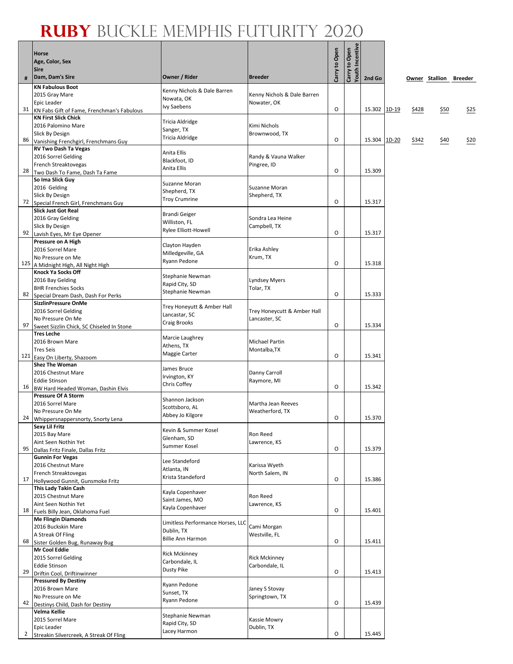т

|                | Horse<br>Age, Color, Sex<br><b>Sire</b>                        |                                   |                                            | Carry to Open | <b>/outh Incentiv</b><br>Carry to Open |              |       |                        |      |
|----------------|----------------------------------------------------------------|-----------------------------------|--------------------------------------------|---------------|----------------------------------------|--------------|-------|------------------------|------|
| #              | Dam, Dam's Sire                                                | Owner / Rider                     | <b>Breeder</b>                             |               |                                        | 2nd Go       |       | Owner Stallion Breeder |      |
|                | <b>KN Fabulous Boot</b>                                        | Kenny Nichols & Dale Barren       |                                            |               |                                        |              |       |                        |      |
|                | 2015 Gray Mare<br>Epic Leader                                  | Nowata, OK                        | Kenny Nichols & Dale Barren<br>Nowater, OK |               |                                        |              |       |                        |      |
| 31             | KN Fabs Gift of Fame, Frenchman's Fabulous                     | Ivy Saebens                       |                                            | O             |                                        | 15.302 1D-19 | \$428 | \$50                   | \$25 |
|                | <b>KN First Slick Chick</b>                                    | Tricia Aldridge                   |                                            |               |                                        |              |       |                        |      |
|                | 2016 Palomino Mare<br>Slick By Design                          | Sanger, TX                        | Kimi Nichols<br>Brownwood, TX              |               |                                        |              |       |                        |      |
| 86             | Vanishing Frenchgirl, Frenchmans Guy                           | Tricia Aldridge                   |                                            | O             |                                        | 15.304 1D-20 | \$342 | \$40                   | \$20 |
|                | <b>RV Two Dash Ta Vegas</b>                                    | Anita Ellis                       |                                            |               |                                        |              |       |                        |      |
|                | 2016 Sorrel Gelding<br>French Streaktovegas                    | Blackfoot, ID                     | Randy & Vauna Walker<br>Pingree, ID        |               |                                        |              |       |                        |      |
| 28             | Two Dash To Fame, Dash Ta Fame                                 | Anita Ellis                       |                                            | O             |                                        | 15.309       |       |                        |      |
|                | So Ima Slick Guy                                               | Suzanne Moran                     |                                            |               |                                        |              |       |                        |      |
|                | 2016 Gelding<br>Slick By Design                                | Shepherd, TX                      | Suzanne Moran<br>Shepherd, TX              |               |                                        |              |       |                        |      |
| 72             | Special French Girl, Frenchmans Guy                            | <b>Troy Crumrine</b>              |                                            | O             |                                        | 15.317       |       |                        |      |
|                | <b>Slick Just Got Real</b>                                     | <b>Brandi Geiger</b>              |                                            |               |                                        |              |       |                        |      |
|                | 2016 Gray Gelding<br>Slick By Design                           | Williston, FL                     | Sondra Lea Heine<br>Campbell, TX           |               |                                        |              |       |                        |      |
| 92             | Lavish Eyes, Mr Eye Opener                                     | <b>Rylee Elliott-Howell</b>       |                                            | 0             |                                        | 15.317       |       |                        |      |
|                | Pressure on A High                                             | Clayton Hayden                    |                                            |               |                                        |              |       |                        |      |
|                | 2016 Sorrel Mare<br>No Pressure on Me                          | Milledgeville, GA                 | Erika Ashley<br>Krum, TX                   |               |                                        |              |       |                        |      |
| 125            | A Midnight High, All Night High                                | Ryann Pedone                      |                                            | O             |                                        | 15.318       |       |                        |      |
|                | <b>Knock Ya Socks Off</b>                                      | Stephanie Newman                  |                                            |               |                                        |              |       |                        |      |
|                | 2016 Bay Gelding<br><b>BHR Frenchies Socks</b>                 | Rapid City, SD                    | <b>Lyndsey Myers</b><br>Tolar, TX          |               |                                        |              |       |                        |      |
| 82             | Special Dream Dash, Dash For Perks                             | Stephanie Newman                  |                                            | O             |                                        | 15.333       |       |                        |      |
|                | <b>SizzlinPressure OnMe</b>                                    | Trey Honeyutt & Amber Hall        |                                            |               |                                        |              |       |                        |      |
|                | 2016 Sorrel Gelding                                            | Lancastar, SC                     | Trey Honeycutt & Amber Hall                |               |                                        |              |       |                        |      |
| 97             | No Pressure On Me<br>Sweet Sizzlin Chick, SC Chiseled In Stone | Craig Brooks                      | Lancaster, SC                              | O             |                                        | 15.334       |       |                        |      |
|                | <b>Tres Leche</b>                                              | Marcie Laughrey                   |                                            |               |                                        |              |       |                        |      |
|                | 2016 Brown Mare                                                | Athens, TX                        | <b>Michael Partin</b>                      |               |                                        |              |       |                        |      |
|                | <b>Tres Seis</b><br>121 Easy On Liberty, Shazoom               | Maggie Carter                     | Montalba, TX                               | O             |                                        | 15.341       |       |                        |      |
|                | <b>Shez The Woman</b>                                          | James Bruce                       |                                            |               |                                        |              |       |                        |      |
|                | 2016 Chestnut Mare                                             | Irvington, KY                     | Danny Carroll                              |               |                                        |              |       |                        |      |
| 16             | <b>Eddie Stinson</b><br>BW Hard Headed Woman, Dashin Elvis     | Chris Coffey                      | Raymore, MI                                | O             |                                        | 15.342       |       |                        |      |
|                | <b>Pressure Of A Storm</b>                                     | Shannon Jackson                   |                                            |               |                                        |              |       |                        |      |
|                | 2016 Sorrel Mare                                               | Scottsboro, AL                    | Martha Jean Reeves                         |               |                                        |              |       |                        |      |
|                | No Pressure On Me<br>24 Whippersnappersnorty, Snorty Lena      | Abbey Jo Kilgore                  | Weatherford, TX                            | 0             |                                        | 15.370       |       |                        |      |
|                | Sexy Lil Fritz                                                 | Kevin & Summer Kosel              |                                            |               |                                        |              |       |                        |      |
|                | 2015 Bay Mare<br>Aint Seen Nothin Yet                          | Glenham, SD                       | Ron Reed<br>Lawrence, KS                   |               |                                        |              |       |                        |      |
| 95             | Dallas Fritz Finale, Dallas Fritz                              | Summer Kosel                      |                                            | O             |                                        | 15.379       |       |                        |      |
|                | <b>Gunnin For Vegas</b>                                        | Lee Standeford                    |                                            |               |                                        |              |       |                        |      |
|                | 2016 Chestnut Mare<br>French Streaktovegas                     | Atlanta, IN                       | Karissa Wyeth<br>North Salem, IN           |               |                                        |              |       |                        |      |
| 17             | Hollywood Gunnit, Gunsmoke Fritz                               | Krista Standeford                 |                                            | O             |                                        | 15.386       |       |                        |      |
|                | This Lady Takin Cash                                           | Kayla Copenhaver                  |                                            |               |                                        |              |       |                        |      |
|                | 2015 Chestnut Mare<br>Aint Seen Nothin Yet                     | Saint James, MO                   | Ron Reed<br>Lawrence, KS                   |               |                                        |              |       |                        |      |
| 18             | Fuels Billy Jean, Oklahoma Fuel                                | Kayla Copenhaver                  |                                            | O             |                                        | 15.401       |       |                        |      |
|                | <b>Me Flingin Diamonds</b>                                     | Limitless Performance Horses, LLC |                                            |               |                                        |              |       |                        |      |
|                | 2016 Buckskin Mare<br>A Streak Of Fling                        | Dublin, TX                        | Cami Morgan<br>Westville, FL               |               |                                        |              |       |                        |      |
| 68             | Sister Golden Bug, Runaway Bug                                 | <b>Billie Ann Harmon</b>          |                                            | O             |                                        | 15.411       |       |                        |      |
|                | Mr Cool Eddie                                                  | <b>Rick Mckinney</b>              |                                            |               |                                        |              |       |                        |      |
|                | 2015 Sorrel Gelding<br><b>Eddie Stinson</b>                    | Carbondale, IL                    | <b>Rick Mckinney</b><br>Carbondale, IL     |               |                                        |              |       |                        |      |
| 29             | Driftin Cool, Driftinwinner                                    | Dusty Pike                        |                                            | O             |                                        | 15.413       |       |                        |      |
|                | <b>Pressured By Destiny</b>                                    | Ryann Pedone                      |                                            |               |                                        |              |       |                        |      |
|                | 2016 Brown Mare<br>No Pressure on Me                           | Sunset, TX                        | Janey S Stovay<br>Springtown, TX           |               |                                        |              |       |                        |      |
| 42             | Destinys Child, Dash for Destiny                               | Ryann Pedone                      |                                            | O             |                                        | 15.439       |       |                        |      |
|                | Velma Kellie                                                   | Stephanie Newman                  |                                            |               |                                        |              |       |                        |      |
|                | 2015 Sorrel Mare<br>Epic Leader                                | Rapid City, SD                    | Kassie Mowry<br>Dublin, TX                 |               |                                        |              |       |                        |      |
| $\overline{2}$ | Streakin Silvercreek, A Streak Of Fling                        | Lacey Harmon                      |                                            | O             |                                        | 15.445       |       |                        |      |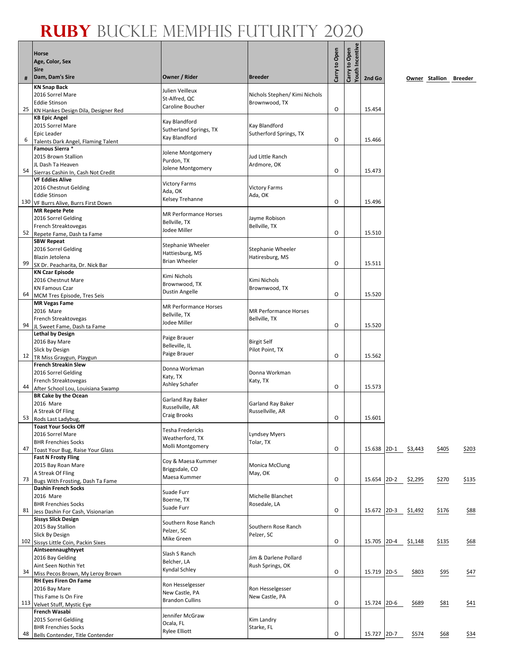## **Ruby** Buckle Memphis Futurity 2020

|    | Horse<br>Age, Color, Sex<br><b>Sire</b>                        |                                         |                                           | Carry to Open | Carry to Open<br>Youth Incentive |             |                     |                        |       |
|----|----------------------------------------------------------------|-----------------------------------------|-------------------------------------------|---------------|----------------------------------|-------------|---------------------|------------------------|-------|
| #  | Dam, Dam's Sire                                                | Owner / Rider                           | <b>Breeder</b>                            |               |                                  | 2nd Go      |                     | Owner Stallion Breeder |       |
|    | <b>KN Snap Back</b>                                            | Julien Veilleux                         |                                           |               |                                  |             |                     |                        |       |
|    | 2016 Sorrel Mare                                               | St-Alfred, QC                           | Nichols Stephen/ Kimi Nichols             |               |                                  |             |                     |                        |       |
| 25 | <b>Eddie Stinson</b><br>KN Hankes Design Dila, Designer Red    | Caroline Boucher                        | Brownwood, TX                             | O             |                                  | 15.454      |                     |                        |       |
|    | <b>KB Epic Angel</b>                                           |                                         |                                           |               |                                  |             |                     |                        |       |
|    | 2015 Sorrel Mare                                               | Kay Blandford<br>Sutherland Springs, TX | Kay Blandford                             |               |                                  |             |                     |                        |       |
|    | Epic Leader                                                    | Kay Blandford                           | Sutherford Springs, TX                    | O             |                                  | 15.466      |                     |                        |       |
| 6  | Talents Dark Angel, Flaming Talent<br>Famous Sierra *          |                                         |                                           |               |                                  |             |                     |                        |       |
|    | 2015 Brown Stallion                                            | Jolene Montgomery                       | Jud Little Ranch                          |               |                                  |             |                     |                        |       |
|    | JL Dash Ta Heaven                                              | Purdon, TX<br>Jolene Montgomery         | Ardmore, OK                               |               |                                  |             |                     |                        |       |
| 54 | Sierras Cashin In, Cash Not Credit                             |                                         |                                           | 0             |                                  | 15.473      |                     |                        |       |
|    | <b>VF Eddies Alive</b><br>2016 Chestnut Gelding                | <b>Victory Farms</b>                    | <b>Victory Farms</b>                      |               |                                  |             |                     |                        |       |
|    | <b>Eddie Stinson</b>                                           | Ada, OK                                 | Ada, OK                                   |               |                                  |             |                     |                        |       |
|    | 130 VF Burrs Alive, Burrs First Down                           | Kelsey Trehanne                         |                                           | O             |                                  | 15.496      |                     |                        |       |
|    | <b>MR Repete Pete</b>                                          | <b>MR Performance Horses</b>            |                                           |               |                                  |             |                     |                        |       |
|    | 2016 Sorrel Gelding<br>French Streaktovegas                    | Bellville, TX                           | Jayme Robison<br>Bellville, TX            |               |                                  |             |                     |                        |       |
| 52 | Repete Fame, Dash ta Fame                                      | Jodee Miller                            |                                           | 0             |                                  | 15.510      |                     |                        |       |
|    | <b>SBW Repeat</b>                                              | Stephanie Wheeler                       |                                           |               |                                  |             |                     |                        |       |
|    | 2016 Sorrel Gelding                                            | Hattiesburg, MS                         | Stephanie Wheeler                         |               |                                  |             |                     |                        |       |
| 99 | Blazin Jetolena                                                | <b>Brian Wheeler</b>                    | Hatiresburg, MS                           | O             |                                  | 15.511      |                     |                        |       |
|    | SX Dr. Peacharita, Dr. Nick Bar<br><b>KN Czar Episode</b>      |                                         |                                           |               |                                  |             |                     |                        |       |
|    | 2016 Chestnut Mare                                             | Kimi Nichols                            | Kimi Nichols                              |               |                                  |             |                     |                        |       |
|    | <b>KN Famous Czar</b>                                          | Brownwood, TX<br><b>Dustin Angelle</b>  | Brownwood, TX                             |               |                                  |             |                     |                        |       |
| 64 | MCM Tres Episode, Tres Seis<br><b>MR Vegas Fame</b>            |                                         |                                           | 0             |                                  | 15.520      |                     |                        |       |
|    | 2016 Mare                                                      | <b>MR Performance Horses</b>            | <b>MR Performance Horses</b>              |               |                                  |             |                     |                        |       |
|    | French Streaktovegas                                           | Bellville, TX<br>Jodee Miller           | Bellville, TX                             |               |                                  |             |                     |                        |       |
| 94 | JL Sweet Fame, Dash ta Fame                                    |                                         |                                           | 0             |                                  | 15.520      |                     |                        |       |
|    | <b>Lethal by Design</b>                                        | Paige Brauer                            |                                           |               |                                  |             |                     |                        |       |
|    | 2016 Bay Mare<br>Slick by Design                               | Belleville, IL                          | <b>Birgit Self</b><br>Pilot Point, TX     |               |                                  |             |                     |                        |       |
| 12 | TR Miss Graygun, Playgun                                       | Paige Brauer                            |                                           | O             |                                  | 15.562      |                     |                        |       |
|    | <b>French Streakin Slew</b>                                    | Donna Workman                           |                                           |               |                                  |             |                     |                        |       |
|    | 2016 Sorrel Gelding<br>French Streaktovegas                    | Katy, TX                                | Donna Workman<br>Katy, TX                 |               |                                  |             |                     |                        |       |
| 44 | After School Lou, Louisiana Swamp                              | Ashley Schafer                          |                                           | $\circ$       |                                  | 15.573      |                     |                        |       |
|    | <b>BR Cake by the Ocean</b>                                    | Garland Ray Baker                       |                                           |               |                                  |             |                     |                        |       |
|    | 2016 Mare                                                      | Russellville, AR                        | Garland Ray Baker                         |               |                                  |             |                     |                        |       |
|    | A Streak Of Fling<br>53 Rods Last Ladybug,                     | <b>Craig Brooks</b>                     | Russellville, AR                          | 0             |                                  | 15.601      |                     |                        |       |
|    | <b>Toast Your Socks Off</b>                                    |                                         |                                           |               |                                  |             |                     |                        |       |
|    | 2016 Sorrel Mare                                               | Tesha Fredericks<br>Weatherford, TX     | Lyndsey Myers                             |               |                                  |             |                     |                        |       |
| 47 | <b>BHR Frenchies Socks</b>                                     | Molli Montgomery                        | Tolar, TX                                 | O             |                                  | 15.638 2D-1 | \$3,443             | \$405                  | \$203 |
|    | Toast Your Bug, Raise Your Glass<br><b>Fast N Frosty Fling</b> |                                         |                                           |               |                                  |             |                     |                        |       |
|    | 2015 Bay Roan Mare                                             | Coy & Maesa Kummer<br>Briggsdale, CO    | Monica McClung                            |               |                                  |             |                     |                        |       |
|    | A Streak Of Fling                                              | Maesa Kummer                            | May, OK                                   | O             |                                  |             | 15.654 2D-2 \$2,295 |                        |       |
| 73 | Bugs With Frosting, Dash Ta Fame<br><b>Dashin French Socks</b> |                                         |                                           |               |                                  |             |                     | \$270                  | \$135 |
|    | 2016 Mare                                                      | Suade Furr                              | Michelle Blanchet                         |               |                                  |             |                     |                        |       |
|    | <b>BHR Frenchies Socks</b>                                     | Boerne, TX<br>Suade Furr                | Rosedale, LA                              |               |                                  |             |                     |                        |       |
| 81 | Jess Dashin For Cash, Visionarian                              |                                         |                                           | O             |                                  | 15.672 2D-3 | \$1,492             | \$176                  | \$88  |
|    | <b>Sissys Slick Design</b><br>2015 Bay Stallion                | Southern Rose Ranch                     | Southern Rose Ranch                       |               |                                  |             |                     |                        |       |
|    | Slick By Design                                                | Pelzer, SC                              | Pelzer, SC                                |               |                                  |             |                     |                        |       |
|    | 102 Sissys Little Coin, Packin Sixes                           | Mike Green                              |                                           | O             |                                  | 15.705 2D-4 | \$1,148             | \$135                  | \$68  |
|    | Aintseennaughtyyet                                             | Slash S Ranch                           |                                           |               |                                  |             |                     |                        |       |
|    | 2016 Bay Gelding<br>Aint Seen Nothin Yet                       | Belcher, LA                             | Jim & Darlene Pollard<br>Rush Springs, OK |               |                                  |             |                     |                        |       |
| 34 | Miss Pecos Brown, My Leroy Brown                               | Kyndal Schley                           |                                           | O             |                                  | 15.719 2D-5 | \$803               | \$95                   | \$47  |
|    | RH Eyes Firen On Fame                                          | Ron Hesselgesser                        |                                           |               |                                  |             |                     |                        |       |
|    | 2016 Bay Mare                                                  | New Castle, PA                          | Ron Hesselgesser                          |               |                                  |             |                     |                        |       |
|    | This Fame Is On Fire<br>113 Velvet Stuff, Mystic Eye           | <b>Brandon Cullins</b>                  | New Castle, PA                            | O             |                                  | 15.724 2D-6 | \$689               | \$81                   | \$41  |
|    | French Wasabi                                                  | Jennifer McGraw                         |                                           |               |                                  |             |                     |                        |       |
|    | 2015 Sorrel Geldiing                                           | Ocala, FL                               | Kim Landry                                |               |                                  |             |                     |                        |       |
| 48 | <b>BHR Frenchies Socks</b><br>Bells Contender, Title Contender | <b>Rylee Elliott</b>                    | Starke, FL                                | 0             |                                  | 15.727 2D-7 | \$574               | \$68                   | \$34  |
|    |                                                                |                                         |                                           |               |                                  |             |                     |                        |       |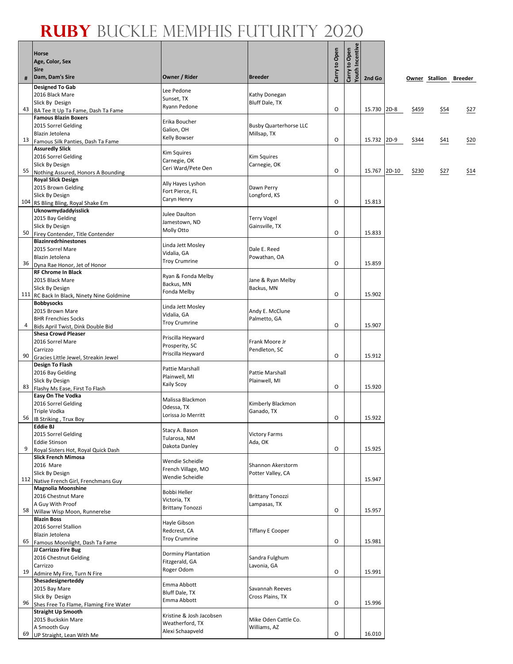т

|    | <b>Horse</b><br>Age, Color, Sex<br><b>Sire</b>                  |                                     |                                      | Carry to Open | <b>routh Incentive</b><br>Carry to Open |        |         |       |                        |      |
|----|-----------------------------------------------------------------|-------------------------------------|--------------------------------------|---------------|-----------------------------------------|--------|---------|-------|------------------------|------|
| #  | Dam, Dam's Sire                                                 | Owner / Rider                       | <b>Breeder</b>                       |               |                                         | 2nd Go |         |       | Owner Stallion Breeder |      |
|    | <b>Designed To Gab</b>                                          | Lee Pedone                          |                                      |               |                                         |        |         |       |                        |      |
|    | 2016 Black Mare<br>Slick By Design                              | Sunset, TX                          | Kathy Donegan                        |               |                                         |        |         |       |                        |      |
| 43 | BA Tee It Up Ta Fame, Dash Ta Fame                              | Ryann Pedone                        | Bluff Dale, TX                       | O             |                                         | 15.730 | $2D-8$  | \$459 | \$54                   | \$27 |
|    | <b>Famous Blazin Boxers</b>                                     | Erika Boucher                       |                                      |               |                                         |        |         |       |                        |      |
|    | 2015 Sorrel Gelding                                             | Galion, OH                          | <b>Busby Quarterhorse LLC</b>        |               |                                         |        |         |       |                        |      |
|    | Blazin Jetolena<br>13 Famous Silk Panties, Dash Ta Fame         | Kelly Bowser                        | Millsap, TX                          | O             |                                         | 15.732 | $2D-9$  | \$344 | \$41                   | \$20 |
|    | <b>Assuredly Slick</b>                                          | <b>Kim Squires</b>                  |                                      |               |                                         |        |         |       |                        |      |
|    | 2016 Sorrel Gelding                                             | Carnegie, OK                        | <b>Kim Squires</b>                   |               |                                         |        |         |       |                        |      |
| 55 | Slick By Design<br>Nothing Assured, Honors A Bounding           | Ceri Ward/Pete Oen                  | Carnegie, OK                         | O             |                                         | 15.767 | $2D-10$ | \$230 | \$27                   | \$14 |
|    | <b>Royal Slick Design</b>                                       | Ally Hayes Lyshon                   |                                      |               |                                         |        |         |       |                        |      |
|    | 2015 Brown Gelding                                              | Fort Pierce, FL                     | Dawn Perry                           |               |                                         |        |         |       |                        |      |
|    | Slick By Design<br>104 RS Bling Bling, Royal Shake Em           | Caryn Henry                         | Longford, KS                         | O             |                                         | 15.813 |         |       |                        |      |
|    | Uknowmydaddyisslick                                             | Julee Daulton                       |                                      |               |                                         |        |         |       |                        |      |
|    | 2015 Bay Gelding                                                | Jamestown, ND                       | <b>Terry Vogel</b>                   |               |                                         |        |         |       |                        |      |
| 50 | Slick By Design<br>Firey Contender, Title Contender             | Molly Otto                          | Gainsville, TX                       | O             |                                         | 15.833 |         |       |                        |      |
|    | <b>Blazinredrhinestones</b>                                     | Linda Jett Mosley                   |                                      |               |                                         |        |         |       |                        |      |
|    | 2015 Sorrel Mare                                                | Vidalia, GA                         | Dale E. Reed                         |               |                                         |        |         |       |                        |      |
| 36 | Blazin Jetolena<br>Dyna Rae Honor, Jet of Honor                 | <b>Troy Crumrine</b>                | Powathan, OA                         | O             |                                         | 15.859 |         |       |                        |      |
|    | <b>RF Chrome In Black</b>                                       | Ryan & Fonda Melby                  |                                      |               |                                         |        |         |       |                        |      |
|    | 2015 Black Mare                                                 | Backus, MN                          | Jane & Ryan Melby                    |               |                                         |        |         |       |                        |      |
|    | Slick By Design<br>111 RC Back In Black, Ninety Nine Goldmine   | Fonda Melby                         | Backus, MN                           | O             |                                         | 15.902 |         |       |                        |      |
|    | <b>Bobbysocks</b>                                               | Linda Jett Mosley                   |                                      |               |                                         |        |         |       |                        |      |
|    | 2015 Brown Mare                                                 | Vidalia, GA                         | Andy E. McClune                      |               |                                         |        |         |       |                        |      |
| 4  | <b>BHR Frenchies Socks</b><br>Bids April Twist, Dink Double Bid | <b>Troy Crumrine</b>                | Palmetto, GA                         | O             |                                         | 15.907 |         |       |                        |      |
|    | <b>Shesa Crowd Pleaser</b>                                      |                                     |                                      |               |                                         |        |         |       |                        |      |
|    | 2016 Sorrel Mare                                                | Priscilla Heyward<br>Prosperity, SC | Frank Moore Jr                       |               |                                         |        |         |       |                        |      |
| 90 | Carrizzo<br>Gracies Little Jewel, Streakin Jewel                | Priscilla Heyward                   | Pendleton, SC                        | O             |                                         | 15.912 |         |       |                        |      |
|    | <b>Design To Flash</b>                                          | Pattie Marshall                     |                                      |               |                                         |        |         |       |                        |      |
|    | 2016 Bay Gelding                                                | Plainwell, MI                       | Pattie Marshall                      |               |                                         |        |         |       |                        |      |
| 83 | Slick By Design<br>Flashy Ms Ease, First To Flash               | Kaily Scoy                          | Plainwell, MI                        | O             |                                         | 15.920 |         |       |                        |      |
|    | Easy On The Vodka                                               | Malissa Blackmon                    |                                      |               |                                         |        |         |       |                        |      |
|    | 2016 Sorrel Gelding                                             | Odessa, TX                          | Kimberly Blackmon                    |               |                                         |        |         |       |                        |      |
|    | Triple Vodka<br>56 IB Striking, Trux Boy                        | Lorissa Jo Merritt                  | Ganado, TX                           | O             |                                         | 15.922 |         |       |                        |      |
|    | <b>Eddie BJ</b>                                                 | Stacy A. Bason                      |                                      |               |                                         |        |         |       |                        |      |
|    | 2015 Sorrel Gelding                                             | Tularosa, NM                        | <b>Victory Farms</b>                 |               |                                         |        |         |       |                        |      |
| 9  | <b>Eddie Stinson</b><br>Royal Sisters Hot, Royal Quick Dash     | Dakota Danley                       | Ada, OK                              | O             |                                         | 15.925 |         |       |                        |      |
|    | <b>Slick French Mimosa</b>                                      | Wendie Scheidle                     |                                      |               |                                         |        |         |       |                        |      |
|    | 2016 Mare                                                       | French Village, MO                  | Shannon Akerstorm                    |               |                                         |        |         |       |                        |      |
|    | Slick By Design<br>112 Native French Girl, Frenchmans Guy       | Wendie Scheidle                     | Potter Valley, CA                    |               |                                         | 15.947 |         |       |                        |      |
|    | <b>Magnolia Moonshine</b>                                       | <b>Bobbi Heller</b>                 |                                      |               |                                         |        |         |       |                        |      |
|    | 2016 Chestnut Mare<br>A Guy With Proof                          | Victoria, TX                        | <b>Brittany Tonozzi</b>              |               |                                         |        |         |       |                        |      |
| 58 | Willaw Wisp Moon, Runnerelse                                    | <b>Brittany Tonozzi</b>             | Lampasas, TX                         | O             |                                         | 15.957 |         |       |                        |      |
|    | <b>Blazin Boss</b>                                              | Hayle Gibson                        |                                      |               |                                         |        |         |       |                        |      |
|    | 2016 Sorrel Stallion<br>Blazin Jetolena                         | Redcrest, CA                        | <b>Tiffany E Cooper</b>              |               |                                         |        |         |       |                        |      |
| 65 | Famous Moonlight, Dash Ta Fame                                  | <b>Troy Crumrine</b>                |                                      | O             |                                         | 15.981 |         |       |                        |      |
|    | JJ Carrizzo Fire Bug                                            | <b>Dorminy Plantation</b>           |                                      |               |                                         |        |         |       |                        |      |
|    | 2016 Chestnut Gelding<br>Carrizzo                               | Fitzgerald, GA                      | Sandra Fulghum<br>Lavonia, GA        |               |                                         |        |         |       |                        |      |
| 19 | Admire My Fire, Turn N Fire                                     | Roger Odom                          |                                      | O             |                                         | 15.991 |         |       |                        |      |
|    | Shesadesignerteddy                                              | Emma Abbott                         |                                      |               |                                         |        |         |       |                        |      |
|    | 2015 Bay Mare<br>Slick By Design                                | Bluff Dale, TX                      | Savannah Reeves<br>Cross Plains, TX  |               |                                         |        |         |       |                        |      |
| 96 | Shes Free To Flame, Flaming Fire Water                          | Emma Abbott                         |                                      | O             |                                         | 15.996 |         |       |                        |      |
|    | <b>Straight Up Smooth</b>                                       | Kristine & Josh Jacobsen            |                                      |               |                                         |        |         |       |                        |      |
|    | 2015 Buckskin Mare<br>A Smooth Guy                              | Weatherford, TX                     | Mike Oden Cattle Co.<br>Williams, AZ |               |                                         |        |         |       |                        |      |
| 69 | UP Straight, Lean With Me                                       | Alexi Schaapveld                    |                                      | O             |                                         | 16.010 |         |       |                        |      |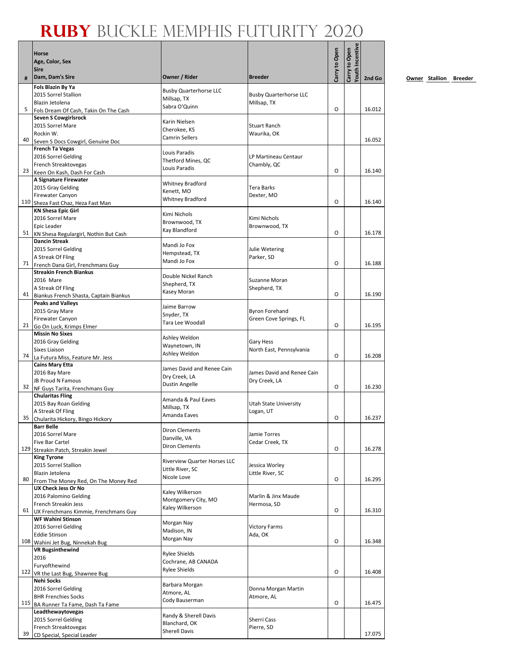|     | <b>Horse</b>                                                  |                                             |                                          |               | outh Incentive |        |
|-----|---------------------------------------------------------------|---------------------------------------------|------------------------------------------|---------------|----------------|--------|
|     | Age, Color, Sex                                               |                                             |                                          |               |                |        |
|     | <b>Sire</b><br>Dam, Dam's Sire                                | Owner / Rider                               | <b>Breeder</b>                           | Carry to Open | Carry to Open  |        |
| #   | Fols Blazin By Ya                                             |                                             |                                          |               |                | 2nd Go |
|     | 2015 Sorrel Stallion                                          | <b>Busby Quarterhorse LLC</b>               | <b>Busby Quarterhorse LLC</b>            |               |                |        |
|     | Blazin Jetolena                                               | Millsap, TX<br>Sabra O'Quinn                | Millsap, TX                              |               |                |        |
| 5   | Fols Dream Of Cash, Takin On The Cash                         |                                             |                                          | O             |                | 16.012 |
|     | Seven S Cowgirlsrock<br>2015 Sorrel Mare                      | Karin Nielsen                               | Stuart Ranch                             |               |                |        |
|     | Rockin W.                                                     | Cherokee. KS                                | Waurika, OK                              |               |                |        |
| 40  | Seven S Docs Cowgirl, Genuine Doc                             | <b>Camrin Sellers</b>                       |                                          |               |                | 16.052 |
|     | <b>French Ta Vegas</b>                                        | Louis Paradis                               |                                          |               |                |        |
|     | 2016 Sorrel Gelding<br>French Streaktovegas                   | Thetford Mines, QC                          | LP Martineau Centaur<br>Chambly, QC      |               |                |        |
| 23  | Keen On Kash, Dash For Cash                                   | Louis Paradis                               |                                          | O             |                | 16.140 |
|     | A Signature Firewater                                         | <b>Whitney Bradford</b>                     |                                          |               |                |        |
|     | 2015 Gray Gelding                                             | Kenett, MO                                  | Tera Barks                               |               |                |        |
| 110 | Firewater Canyon<br>Sheza Fast Chaz, Heza Fast Man            | Whitney Bradford                            | Dexter, MO                               | 0             |                | 16.140 |
|     | <b>KN Shesa Epic Girl</b>                                     |                                             |                                          |               |                |        |
|     | 2016 Sorrel Mare                                              | Kimi Nichols<br>Brownwood, TX               | Kimi Nichols                             |               |                |        |
|     | <b>Epic Leader</b>                                            | Kay Blandford                               | Brownwood, TX                            | O             |                | 16.178 |
| 51  | KN Shesa Regulargirl, Nothin But Cash<br><b>Dancin Streak</b> |                                             |                                          |               |                |        |
|     | 2015 Sorrel Gelding                                           | Mandi Jo Fox                                | Julie Wetering                           |               |                |        |
|     | A Streak Of Fling                                             | Hempstead, TX<br>Mandi Jo Fox               | Parker, SD                               |               |                |        |
| 71  | French Dana Girl, Frenchmans Guy                              |                                             |                                          | 0             |                | 16.188 |
|     | <b>Streakin French Biankus</b><br>2016 Mare                   | Double Nickel Ranch                         | Suzanne Moran                            |               |                |        |
|     | A Streak Of Fling                                             | Shepherd, TX                                | Shepherd, TX                             |               |                |        |
| 41  | Biankus French Shasta, Captain Biankus                        | Kasey Moran                                 |                                          | O             |                | 16.190 |
|     | <b>Peaks and Valleys</b>                                      | Jaime Barrow                                |                                          |               |                |        |
|     | 2015 Gray Mare<br>Firewater Canyon                            | Snyder, TX                                  | Byron Forehand<br>Green Cove Springs, FL |               |                |        |
| 21  | Go On Luck, Krimps Elmer                                      | Tara Lee Woodall                            |                                          | 0             |                | 16.195 |
|     | <b>Missin No Sixes</b>                                        | Ashley Weldon                               |                                          |               |                |        |
|     | 2016 Gray Gelding                                             | Waynetown, IN                               | <b>Gary Hess</b>                         |               |                |        |
| 74  | Sixes Liaison<br>La Futura Miss, Feature Mr. Jess             | Ashley Weldon                               | North East, Pennsylvania                 | 0             |                | 16.208 |
|     | <b>Cains Mary Etta</b>                                        |                                             |                                          |               |                |        |
|     | 2016 Bay Mare                                                 | James David and Renee Cain<br>Dry Creek, LA | James David and Renee Cain               |               |                |        |
|     | JB Proud N Famous                                             | Dustin Angelle                              | Dry Creek, LA                            | O             |                | 16.230 |
| 32  | NF Guys Tarita, Frenchmans Guy<br><b>Chularitas Fling</b>     |                                             |                                          |               |                |        |
|     | 2015 Bay Roan Gelding                                         | Amanda & Paul Eaves                         | <b>Utah State University</b>             |               |                |        |
|     | A Streak Of Fling                                             | Millsap, TX<br>Amanda Eaves                 | Logan, UT                                |               |                |        |
| 35  | Chularita Hickory, Bingo Hickory                              |                                             |                                          | O             |                | 16.237 |
|     | <b>Barr Belle</b><br>2016 Sorrel Mare                         | <b>Diron Clements</b>                       | Jamie Torres                             |               |                |        |
|     | Five Bar Cartel                                               | Danville, VA                                | Cedar Creek, TX                          |               |                |        |
| 129 | Streakin Patch, Streakin Jewel                                | Diron Clements                              |                                          | 0             |                | 16.278 |
|     | <b>King Tyrone</b>                                            | Riverview Quarter Horses LLC                |                                          |               |                |        |
|     | 2015 Sorrel Stallion<br>Blazin Jetolena                       | Little River, SC                            | Jessica Worley<br>Little River, SC       |               |                |        |
| 80  | From The Money Red, On The Money Red                          | Nicole Love                                 |                                          | 0             |                | 16.295 |
|     | <b>UX Check Jess Or No</b>                                    | Kaley Wilkerson                             |                                          |               |                |        |
|     | 2016 Palomino Gelding<br>French Streakin Jess                 | Montgomery City, MO                         | Marlin & Jinx Maude                      |               |                |        |
| 61  | UX Frenchmans Kimmie, Frenchmans Guy                          | Kaley Wilkerson                             | Hermosa, SD                              | 0             |                | 16.310 |
|     | <b>WF Wahini Stinson</b>                                      |                                             |                                          |               |                |        |
|     | 2016 Sorrel Gelding                                           | Morgan Nay<br>Madison, IN                   | <b>Victory Farms</b>                     |               |                |        |
| 108 | <b>Eddie Stinson</b>                                          | Morgan Nay                                  | Ada, OK                                  | 0             |                | 16.348 |
|     | Wahini Jet Bug, Ninnekah Bug<br><b>VR Bugsinthewind</b>       |                                             |                                          |               |                |        |
|     | 2016                                                          | <b>Rylee Shields</b>                        |                                          |               |                |        |
|     | Furyofthewind                                                 | Cochrane, AB CANADA<br><b>Rylee Shields</b> |                                          |               |                |        |
|     | 122 VR the Last Bug, Shawnee Bug                              |                                             |                                          | 0             |                | 16.408 |
|     | <b>Nehi Socks</b><br>2016 Sorrel Gelding                      | Barbara Morgan                              | Donna Morgan Martin                      |               |                |        |
|     | <b>BHR Frenchies Socks</b>                                    | Atmore, AL                                  | Atmore, AL                               |               |                |        |
| 115 | BA Runner Ta Fame, Dash Ta Fame                               | Cody Bauserman                              |                                          | 0             |                | 16.475 |
|     | Leadthewaytovegas                                             | Randy & Sherell Davis                       |                                          |               |                |        |
|     | 2015 Sorrel Gelding<br>French Streaktovegas                   | Blanchard, OK                               | Sherri Cass<br>Pierre, SD                |               |                |        |
| 39  | CD Special, Special Leader                                    | <b>Sherell Davis</b>                        |                                          |               |                | 17.075 |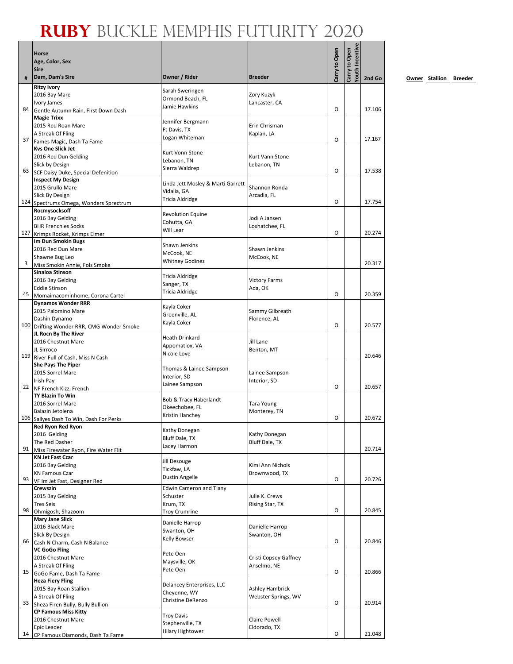|     | Horse<br>Age, Color, Sex<br><b>Sire</b>                      |                                                  |                                | Carry to Open | Youth Incentive<br>Carry to Open |        |
|-----|--------------------------------------------------------------|--------------------------------------------------|--------------------------------|---------------|----------------------------------|--------|
| #   | Dam, Dam's Sire                                              | Owner / Rider                                    | <b>Breeder</b>                 |               |                                  | 2nd Go |
|     | <b>Ritzy Ivory</b>                                           | Sarah Sweringen                                  |                                |               |                                  |        |
|     | 2016 Bay Mare                                                | Ormond Beach, FL                                 | Zory Kuzyk                     |               |                                  |        |
| 84  | Ivory James<br>Gentle Autumn Rain, First Down Dash           | Jamie Hawkins                                    | Lancaster, CA                  | 0             |                                  | 17.106 |
|     | <b>Magie Trixx</b>                                           |                                                  |                                |               |                                  |        |
|     | 2015 Red Roan Mare                                           | Jennifer Bergmann                                | Erin Chrisman                  |               |                                  |        |
|     | A Streak Of Fling                                            | Ft Davis, TX<br>Logan Whiteman                   | Kaplan, LA                     |               |                                  |        |
| 37  | Fames Magic, Dash Ta Fame                                    |                                                  |                                | O             |                                  | 17.167 |
|     | <b>Kys One Slick Jet</b>                                     | Kurt Vonn Stone                                  |                                |               |                                  |        |
|     | 2016 Red Dun Gelding<br>Slick by Design                      | Lebanon, TN                                      | Kurt Vann Stone<br>Lebanon, TN |               |                                  |        |
| 63  | SCF Daisy Duke, Special Defenition                           | Sierra Waldrep                                   |                                | 0             |                                  | 17.538 |
|     | <b>Inspect My Design</b>                                     |                                                  |                                |               |                                  |        |
|     | 2015 Grullo Mare                                             | Linda Jett Mosley & Marti Garrett<br>Vidalia, GA | Shannon Ronda                  |               |                                  |        |
|     | Slick By Design                                              | Tricia Aldridge                                  | Arcadia, FL                    |               |                                  |        |
| 124 | Spectrums Omega, Wonders Sprectrum                           |                                                  |                                | 0             |                                  | 17.754 |
|     | Rocmysocksoff<br>2016 Bay Gelding                            | <b>Revolution Equine</b>                         | Jodi A Jansen                  |               |                                  |        |
|     | <b>BHR Frenchies Socks</b>                                   | Cohutta, GA                                      | Loxhatchee, FL                 |               |                                  |        |
| 127 | Krimps Rocket, Krimps Elmer                                  | Will Lear                                        |                                | 0             |                                  | 20.274 |
|     | Im Dun Smokin Bugs                                           | Shawn Jenkins                                    |                                |               |                                  |        |
|     | 2016 Red Dun Mare                                            | McCook, NE                                       | Shawn Jenkins                  |               |                                  |        |
| 3   | Shawne Bug Leo                                               | <b>Whitney Godinez</b>                           | McCook, NE                     |               |                                  | 20.317 |
|     | Miss Smokin Annie, Fols Smoke<br>Sinaloa Stinson             |                                                  |                                |               |                                  |        |
|     | 2016 Bay Gelding                                             | Tricia Aldridge                                  | <b>Victory Farms</b>           |               |                                  |        |
|     | <b>Eddie Stinson</b>                                         | Sanger, TX                                       | Ada, OK                        |               |                                  |        |
| 45  | Momaimacominhome, Corona Cartel                              | Tricia Aldridge                                  |                                | 0             |                                  | 20.359 |
|     | <b>Dynamos Wonder RRR</b>                                    | Kayla Coker                                      |                                |               |                                  |        |
|     | 2015 Palomino Mare                                           | Greenville, AL                                   | Sammy Gilbreath                |               |                                  |        |
| 100 | Dashin Dynamo<br>Drifting Wonder RRR, CMG Wonder Smoke       | Kayla Coker                                      | Florence, AL                   | O             |                                  | 20.577 |
|     | JL Rocn By The River                                         |                                                  |                                |               |                                  |        |
|     | 2016 Chestnut Mare                                           | Heath Drinkard                                   | Jill Lane                      |               |                                  |        |
|     | JL Sirroco                                                   | Appomatiox, VA<br>Nicole Love                    | Benton, MT                     |               |                                  |        |
|     | 119 River Full of Cash, Miss N Cash                          |                                                  |                                |               |                                  | 20.646 |
|     | She Pays The Piper                                           | Thomas & Lainee Sampson                          |                                |               |                                  |        |
|     | 2015 Sorrel Mare<br>Irish Pay                                | Interior, SD                                     | Lainee Sampson<br>Interior, SD |               |                                  |        |
| 22  | NF French Kizz, French                                       | Lainee Sampson                                   |                                | O             |                                  | 20.657 |
|     | <b>TY Blazin To Win</b>                                      |                                                  |                                |               |                                  |        |
|     | 2016 Sorrel Mare                                             | Bob & Tracy Haberlandt<br>Okeechobee, FL         | <b>Tara Young</b>              |               |                                  |        |
|     | Balazin Jetolena                                             | Kristin Hanchey                                  | Monterey, TN                   | 0             |                                  | 20.672 |
|     | 106 Sallyes Dash To Win, Dash For Perks<br>Red Ryon Red Ryon |                                                  |                                |               |                                  |        |
|     | 2016 Gelding                                                 | Kathy Donegan                                    | Kathy Donegan                  |               |                                  |        |
|     | The Red Dasher                                               | Bluff Dale, TX                                   | <b>Bluff Dale, TX</b>          |               |                                  |        |
| 91  | Miss Firewater Ryon, Fire Water Flit                         | Lacey Harmon                                     |                                |               |                                  | 20.714 |
|     | <b>KN Jet Fast Czar</b>                                      | Jill Desouge                                     |                                |               |                                  |        |
|     | 2016 Bay Gelding                                             | Tickfaw, LA                                      | Kimi Ann Nichols               |               |                                  |        |
| 93  | <b>KN Famous Czar</b><br>VF Im Jet Fast, Designer Red        | Dustin Angelle                                   | Brownwood, TX                  | 0             |                                  | 20.726 |
|     | Crewszin                                                     | <b>Edwin Cameron and Tiany</b>                   |                                |               |                                  |        |
|     | 2015 Bay Gelding                                             | Schuster                                         | Julie K. Crews                 |               |                                  |        |
|     | <b>Tres Seis</b>                                             | Krum, TX                                         | Rising Star, TX                |               |                                  |        |
| 98  | Ohmigosh, Shazoom                                            | <b>Troy Crumrine</b>                             |                                | 0             |                                  | 20.845 |
|     | Mary Jane Slick                                              | Danielle Harrop                                  |                                |               |                                  |        |
|     | 2016 Black Mare<br>Slick By Design                           | Swanton, OH                                      | Danielle Harrop<br>Swanton, OH |               |                                  |        |
| 66  | Cash N Charm, Cash N Balance                                 | Kelly Bowser                                     |                                | 0             |                                  | 20.846 |
|     | <b>VC GoGo Fling</b>                                         | Pete Oen                                         |                                |               |                                  |        |
|     | 2016 Chestnut Mare                                           | Maysville, OK                                    | Cristi Copsey Gaffney          |               |                                  |        |
|     | A Streak Of Fling                                            | Pete Oen                                         | Anselmo, NE                    | 0             |                                  | 20.866 |
| 15  | GoGo Fame, Dash Ta Fame<br><b>Heza Fiery Fling</b>           |                                                  |                                |               |                                  |        |
|     | 2015 Bay Roan Stallion                                       | Delancey Enterprises, LLC                        | <b>Ashley Hambrick</b>         |               |                                  |        |
|     | A Streak Of Fling                                            | Cheyenne, WY                                     | Webster Springs, WV            |               |                                  |        |
| 33  | Sheza Firen Bully, Bully Bullion                             | Christine DeRenzo                                |                                | O             |                                  | 20.914 |
|     | <b>CP Famous Miss Kitty</b>                                  | <b>Troy Davis</b>                                |                                |               |                                  |        |
|     | 2016 Chestnut Mare                                           | Stephenville, TX                                 | <b>Claire Powell</b>           |               |                                  |        |
| 14  | Epic Leader<br>CP Famous Diamonds, Dash Ta Fame              | <b>Hilary Hightower</b>                          | Eldorado, TX                   | 0             |                                  | 21.048 |
|     |                                                              |                                                  |                                |               |                                  |        |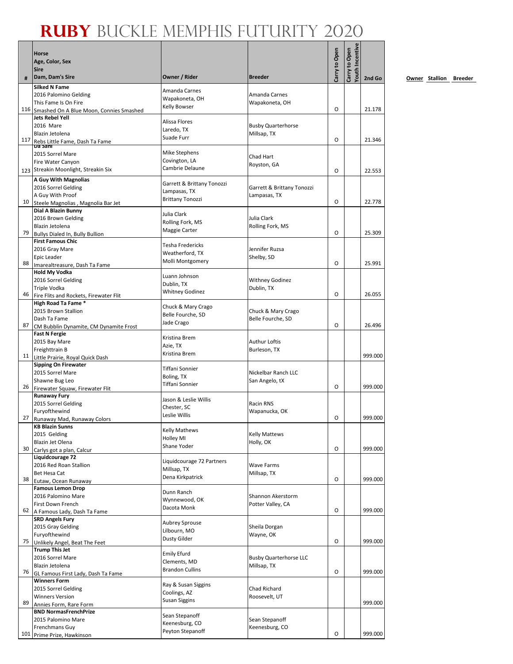|     | Horse<br>Age, Color, Sex<br><b>Sire</b>                               |                                      |                               | Carry to Open | Youth Incentive<br>Carry to Open |         |
|-----|-----------------------------------------------------------------------|--------------------------------------|-------------------------------|---------------|----------------------------------|---------|
| #   | Dam, Dam's Sire                                                       | Owner / Rider                        | <b>Breeder</b>                |               |                                  | 2nd Go  |
|     | <b>Silked N Fame</b>                                                  | Amanda Carnes                        |                               |               |                                  |         |
|     | 2016 Palomino Gelding                                                 | Wapakoneta, OH                       | Amanda Carnes                 |               |                                  |         |
|     | This Fame Is On Fire                                                  | <b>Kelly Bowser</b>                  | Wapakoneta, OH                | O             |                                  | 21.178  |
|     | 116 Smashed On A Blue Moon, Connies Smashed<br><b>Jets Rebel Yell</b> |                                      |                               |               |                                  |         |
|     | 2016 Mare                                                             | Alissa Flores                        | <b>Busby Quarterhorse</b>     |               |                                  |         |
|     | Blazin Jetolena                                                       | Laredo, TX<br>Suade Furr             | Millsap, TX                   |               |                                  |         |
| 117 | Rebs Little Fame, Dash Ta Fame                                        |                                      |                               | O             |                                  | 21.346  |
|     | 2015 Sorrel Mare                                                      | Mike Stephens                        | Chad Hart                     |               |                                  |         |
|     | Fire Water Canyon                                                     | Covington, LA                        | Royston, GA                   |               |                                  |         |
|     | 123 Streakin Moonlight, Streakin Six                                  | Cambrie Delaune                      |                               | O             |                                  | 22.553  |
|     | A Guy With Magnolias                                                  | Garrett & Brittany Tonozzi           |                               |               |                                  |         |
|     | 2016 Sorrel Gelding                                                   | Lampasas, TX                         | Garrett & Brittany Tonozzi    |               |                                  |         |
| 10  | A Guy With Proof                                                      | <b>Brittany Tonozzi</b>              | Lampasas, TX                  | O             |                                  | 22.778  |
|     | Steele Magnolias, Magnolia Bar Jet<br>Dial A Blazin Bunny             |                                      |                               |               |                                  |         |
|     | 2016 Brown Gelding                                                    | Julia Clark                          | Julia Clark                   |               |                                  |         |
|     | Blazin Jetolena                                                       | Rolling Fork, MS<br>Maggie Carter    | Rolling Fork, MS              |               |                                  |         |
| 79  | Bullys Dialed In, Bully Bullion                                       |                                      |                               | O             |                                  | 25.309  |
|     | <b>First Famous Chic</b><br>2016 Gray Mare                            | Tesha Fredericks                     | Jennifer Ruzsa                |               |                                  |         |
|     | <b>Epic Leader</b>                                                    | Weatherford, TX                      | Shelby, SD                    |               |                                  |         |
| 88  | Imarealtreasure, Dash Ta Fame                                         | Molli Montgomery                     |                               | O             |                                  | 25.991  |
|     | <b>Hold My Vodka</b>                                                  | Luann Johnson                        |                               |               |                                  |         |
|     | 2016 Sorrel Gelding                                                   | Dublin, TX                           | <b>Withney Godinez</b>        |               |                                  |         |
| 46  | <b>Triple Vodka</b>                                                   | <b>Whitney Godinez</b>               | Dublin, TX                    | O             |                                  | 26.055  |
|     | Fire Flits and Rockets, Firewater Flit<br>High Road Ta Fame *         |                                      |                               |               |                                  |         |
|     | 2015 Brown Stallion                                                   | Chuck & Mary Crago                   | Chuck & Mary Crago            |               |                                  |         |
|     | Dash Ta Fame                                                          | Belle Fourche, SD<br>Jade Crago      | Belle Fourche, SD             |               |                                  |         |
| 87  | CM Bubblin Dynamite, CM Dynamite Frost                                |                                      |                               | O             |                                  | 26.496  |
|     | <b>Fast N Fergie</b><br>2015 Bay Mare                                 | Kristina Brem                        | <b>Authur Loftis</b>          |               |                                  |         |
|     | Freighttrain B                                                        | Azie, TX                             | Burleson, TX                  |               |                                  |         |
| 11  | Little Prairie, Royal Quick Dash                                      | Kristina Brem                        |                               |               |                                  | 999.000 |
|     | <b>Sipping On Firewater</b>                                           | <b>Tiffani Sonnier</b>               |                               |               |                                  |         |
|     | 2015 Sorrel Mare                                                      | Boling, TX                           | Nickelbar Ranch LLC           |               |                                  |         |
| 26  | Shawne Bug Leo<br>Firewater Squaw, Firewater Flit                     | Tiffani Sonnier                      | San Angelo, tX                | $\circ$       |                                  | 999.000 |
|     | <b>Runaway Fury</b>                                                   |                                      |                               |               |                                  |         |
|     | 2015 Sorrel Gelding                                                   | Jason & Leslie Willis<br>Chester, SC | Racin RNS                     |               |                                  |         |
|     | Furyofthewind                                                         | Leslie Willis                        | Wapanucka, OK                 |               |                                  |         |
| 27  | Runaway Mad, Runaway Colors                                           |                                      |                               | O             |                                  | 999.000 |
|     | <b>KB Blazin Sunns</b><br>2015 Gelding                                | <b>Kelly Mathews</b>                 | <b>Kelly Mattews</b>          |               |                                  |         |
|     | Blazin Jet Olena                                                      | <b>Holley MI</b>                     | Holly, OK                     |               |                                  |         |
| 30  | Carlys got a plan, Calcur                                             | Shane Yoder                          |                               | O             |                                  | 999.000 |
|     | Liquidcourage 72                                                      | Liquidcourage 72 Partners            |                               |               |                                  |         |
|     | 2016 Red Roan Stallion<br><b>Bet Hesa Cat</b>                         | Millsap, TX                          | <b>Wave Farms</b>             |               |                                  |         |
| 38  | Eutaw, Ocean Runaway                                                  | Dena Kirkpatrick                     | Millsap, TX                   | O             |                                  | 999.000 |
|     | <b>Famous Lemon Drop</b>                                              |                                      |                               |               |                                  |         |
|     | 2016 Palomino Mare                                                    | Dunn Ranch<br>Wynnewood, OK          | Shannon Akerstorm             |               |                                  |         |
|     | First Down French                                                     | Dacota Monk                          | Potter Valley, CA             | O             |                                  | 999.000 |
| 62  | A Famous Lady, Dash Ta Fame<br><b>SRD Angels Fury</b>                 |                                      |                               |               |                                  |         |
|     | 2015 Gray Gelding                                                     | Aubrey Sprouse                       | Sheila Dorgan                 |               |                                  |         |
|     | Furyofthewind                                                         | Lilbourn, MO                         | Wayne, OK                     |               |                                  |         |
| 75  | Unlikely Angel, Beat The Feet                                         | Dusty Gilder                         |                               | O             |                                  | 999.000 |
|     | <b>Trump This Jet</b>                                                 | <b>Emily Efurd</b>                   |                               |               |                                  |         |
|     | 2016 Sorrel Mare<br>Blazin Jetolena                                   | Clements, MD                         | <b>Busby Quarterhorse LLC</b> |               |                                  |         |
| 76  | GL Famous First Lady, Dash Ta Fame                                    | <b>Brandon Cullins</b>               | Millsap, TX                   | O             |                                  | 999.000 |
|     | <b>Winners Form</b>                                                   |                                      |                               |               |                                  |         |
|     | 2015 Sorrel Gelding                                                   | Ray & Susan Siggins<br>Coolings, AZ  | Chad Richard                  |               |                                  |         |
|     | <b>Winners Version</b>                                                | <b>Susan Siggins</b>                 | Roosevelt, UT                 |               |                                  |         |
| 89  | Annies Form, Rare Form<br><b>BND NormasFrenchPrize</b>                |                                      |                               |               |                                  | 999.000 |
|     | 2015 Palomino Mare                                                    | Sean Stepanoff                       | Sean Stepanoff                |               |                                  |         |
|     | Frenchmans Guy                                                        | Keenesburg, CO                       | Keenesburg, CO                |               |                                  |         |
| 101 | Prime Prize, Hawkinson                                                | Peyton Stepanoff                     |                               | O             |                                  | 999.000 |